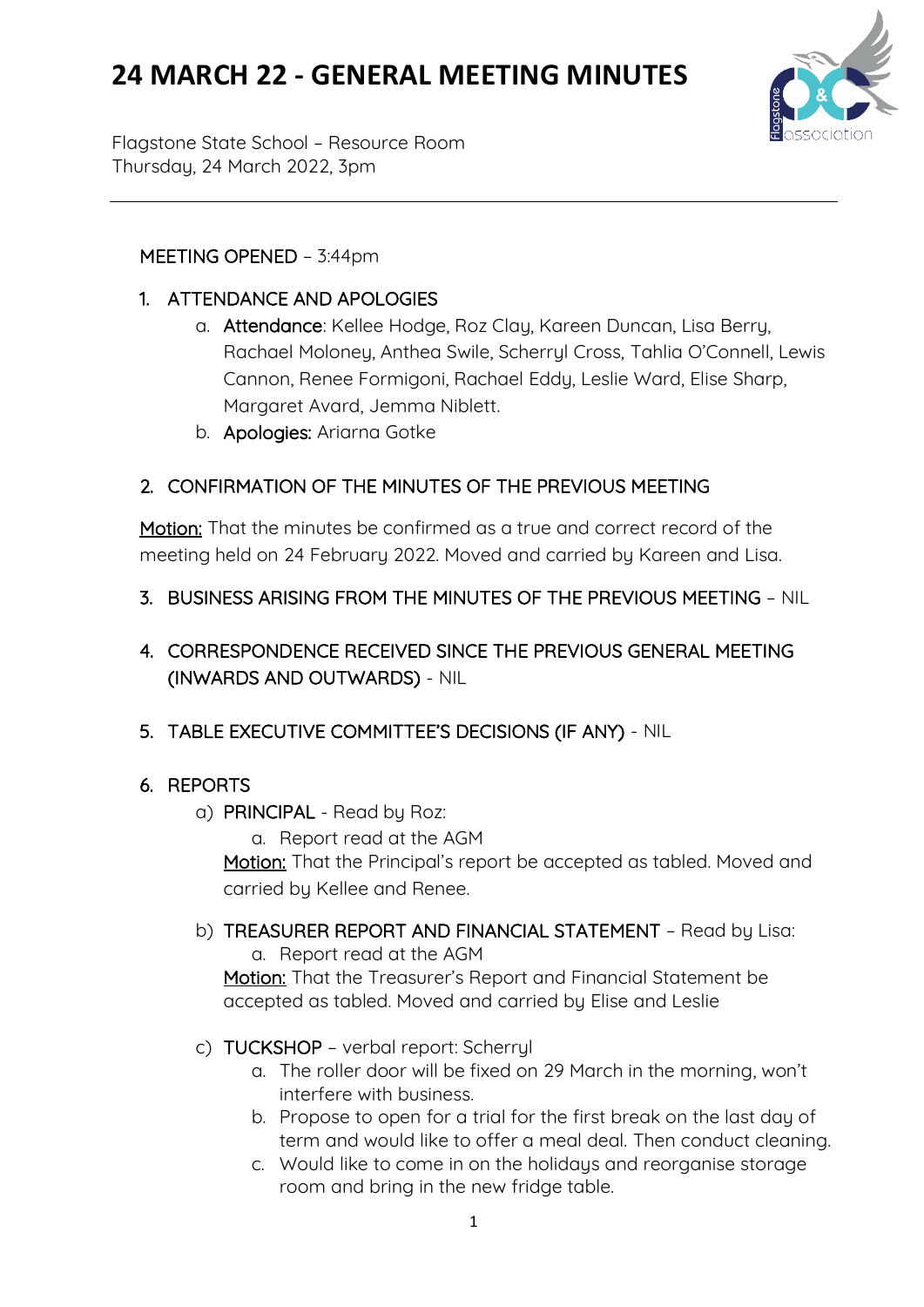# **24 MARCH 22 - GENERAL MEETING MINUTES**



Flagstone State School – Resource Room Thursday, 24 March 2022, 3pm

### MEETING OPENED – 3:44pm

- 1. ATTENDANCE AND APOLOGIES
	- a. Attendance: Kellee Hodge, Roz Clay, Kareen Duncan, Lisa Berry, Rachael Moloney, Anthea Swile, Scherryl Cross, Tahlia O'Connell, Lewis Cannon, Renee Formigoni, Rachael Eddy, Leslie Ward, Elise Sharp, Margaret Avard, Jemma Niblett.
	- b. Apologies: Ariarna Gotke

## 2. CONFIRMATION OF THE MINUTES OF THE PREVIOUS MEETING

Motion: That the minutes be confirmed as a true and correct record of the meeting held on 24 February 2022. Moved and carried by Kareen and Lisa.

- 3. BUSINESS ARISING FROM THE MINUTES OF THE PREVIOUS MEETING NIL
- 4. CORRESPONDENCE RECEIVED SINCE THE PREVIOUS GENERAL MEETING (INWARDS AND OUTWARDS) - NIL

## 5. TABLE EXECUTIVE COMMITTEE'S DECISIONS (IF ANY) - NIL

## 6. REPORTS

a) PRINCIPAL - Read by Roz:

a. Report read at the AGM

Motion: That the Principal's report be accepted as tabled. Moved and carried by Kellee and Renee.

b) TREASURER REPORT AND FINANCIAL STATEMENT – Read by Lisa: a. Report read at the AGM

Motion: That the Treasurer's Report and Financial Statement be accepted as tabled. Moved and carried by Elise and Leslie

- c) TUCKSHOP verbal report: Scherryl
	- a. The roller door will be fixed on 29 March in the morning, won't interfere with business.
	- b. Propose to open for a trial for the first break on the last day of term and would like to offer a meal deal. Then conduct cleaning.
	- c. Would like to come in on the holidaus and reorganise storage room and bring in the new fridge table.